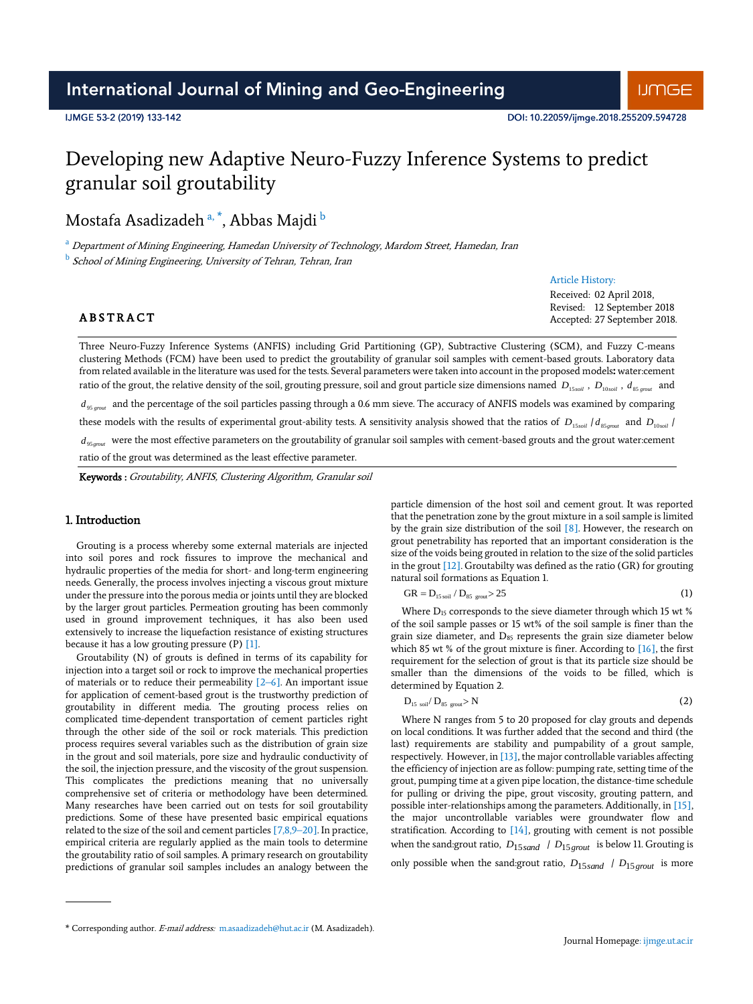# International Journal of Mining and Geo-Engineering

# Developing new Adaptive Neuro-Fuzzy Inference Systems to predict granular soil groutability

Mostafa Asadizadeh <sup>a, \*</sup>, Abbas Majdi <sup>b</sup>

<sup>a</sup> Department of Mining Engineering, Hamedan University of Technology, Mardom Street, Hamedan, Iran

<sup>b</sup> School of Mining Engineering, University of Tehran, Tehran, Iran

#### Article History:

Received: 02 April 2018, Revised: 12 September 2018 Accepted: 27 September 2018.

**ABSTRACT** 

Three Neuro-Fuzzy Inference Systems (ANFIS) including Grid Partitioning (GP), Subtractive Clustering (SCM), and Fuzzy C-means clustering Methods (FCM) have been used to predict the groutability of granular soil samples with cement-based grouts. Laboratory data from related available in the literature was used for the tests. Several parameters were taken into account in the proposed models**:** water:cement ratio of the grout, the relative density of the soil, grouting pressure, soil and grout particle size dimensions named  $D_{\rm 15, coil}$  ,  $D_{\rm 10, coil}$  ,  $d_{\rm 85, ground}$  and  $d_{gs_{\textit{ground}}}$  and the percentage of the soil particles passing through a 0.6 mm sieve. The accuracy of ANFIS models was examined by comparing these models with the results of experimental grout-ability tests. A sensitivity analysis showed that the ratios of  $D_{15,coil}/d_{85, ground}$  and  $D_{10, coil}$  $d_{g_{S,peak}}$  were the most effective parameters on the groutability of granular soil samples with cement-based grouts and the grout water:cement ratio of the grout was determined as the least effective parameter.

D

Keywords : Groutability, ANFIS, Clustering Algorithm, Granular soil

# 1. Introduction

Grouting is a process whereby some external materials are injected into soil pores and rock fissures to improve the mechanical and hydraulic properties of the media for short- and long-term engineering needs. Generally, the process involves injecting a viscous grout mixture under the pressure into the porous media or joints until they are blocked by the larger grout particles. Permeation grouting has been commonly used in ground improvement techniques, it has also been used extensively to increase the liquefaction resistance of existing structures because it has a low grouting pressure (P) [1].

Groutability (N) of grouts is defined in terms of its capability for injection into a target soil or rock to improve the mechanical properties of materials or to reduce their permeability [2–6]. An important issue for application of cement-based grout is the trustworthy prediction of groutability in different media. The grouting process relies on complicated time-dependent transportation of cement particles right through the other side of the soil or rock materials. This prediction process requires several variables such as the distribution of grain size in the grout and soil materials, pore size and hydraulic conductivity of the soil, the injection pressure, and the viscosity of the grout suspension. This complicates the predictions meaning that no universally comprehensive set of criteria or methodology have been determined. Many researches have been carried out on tests for soil groutability predictions. Some of these have presented basic empirical equations related to the size of the soil and cement particles  $[7,8,9-20]$ . In practice, empirical criteria are regularly applied as the main tools to determine the groutability ratio of soil samples. A primary research on groutability predictions of granular soil samples includes an analogy between the

particle dimension of the host soil and cement grout. It was reported that the penetration zone by the grout mixture in a soil sample is limited by the grain size distribution of the soil [8]. However, the research on grout penetrability has reported that an important consideration is the size of the voids being grouted in relation to the size of the solid particles in the grout  $[12]$ . Groutabilty was defined as the ratio (GR) for grouting natural soil formations as Equation 1.

$$
GR = D_{15 \text{ soil}} / D_{85 \text{ growth}} > 25 \tag{1}
$$

Where D<sub>15</sub> corresponds to the sieve diameter through which 15 wt % of the soil sample passes or 15 wt% of the soil sample is finer than the grain size diameter, and  $D_{85}$  represents the grain size diameter below which 85 wt % of the grout mixture is finer. According to [16], the first requirement for the selection of grout is that its particle size should be smaller than the dimensions of the voids to be filled, which is determined by Equation 2.

$$
_{15~\text{soil}}/D_{85~\text{growth}} > N \tag{2}
$$

Where N ranges from 5 to 20 proposed for clay grouts and depends on local conditions. It was further added that the second and third (the last) requirements are stability and pumpability of a grout sample, respectively. However, in [13], the major controllable variables affecting the efficiency of injection are as follow: pumping rate, setting time of the grout, pumping time at a given pipe location, the distance-time schedule for pulling or driving the pipe, grout viscosity, grouting pattern, and possible inter-relationships among the parameters. Additionally, in [15], the major uncontrollable variables were groundwater flow and stratification. According to [14], grouting with cement is not possible when the sand:grout ratio, *D*15*sand* / *<sup>D</sup>*15*grou<sup>t</sup>* is below 11. Grouting is only possible when the sand:grout ratio, *D*15*sand* / *<sup>D</sup>*15*grou<sup>t</sup>* is more

<sup>\*</sup> Corresponding author. E-mail address: m.asaadizadeh@hut.ac.ir (M. Asadizadeh).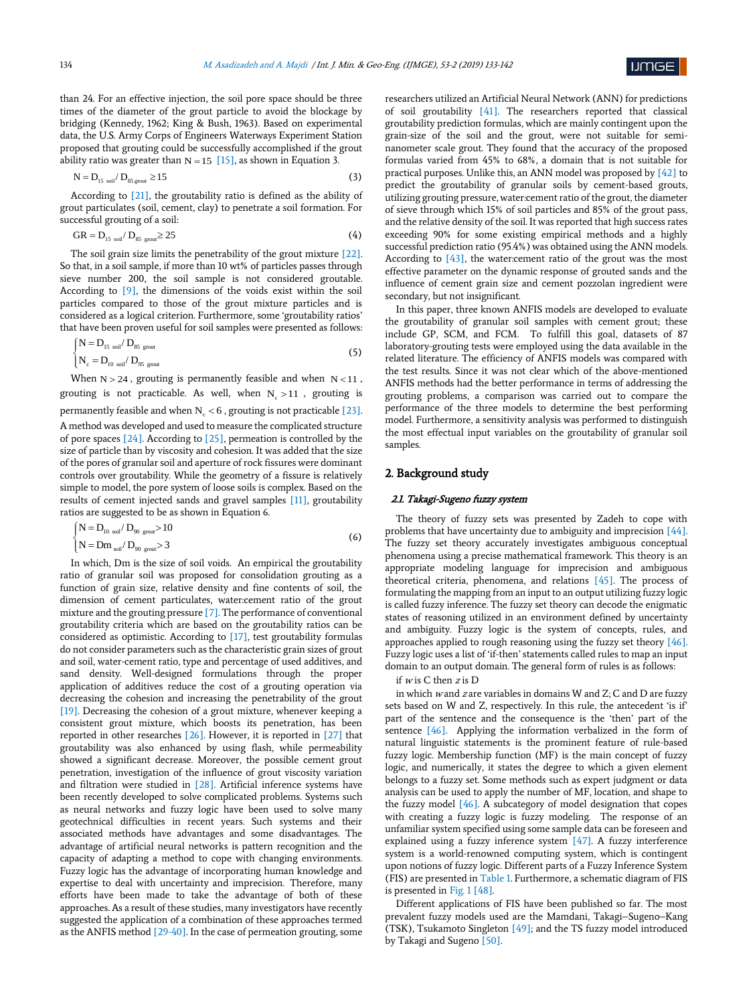

than 24. For an effective injection, the soil pore space should be three times of the diameter of the grout particle to avoid the blockage by bridging (Kennedy, 1962; King & Bush, 1963). Based on experimental data, the U.S. Army Corps of Engineers Waterways Experiment Station proposed that grouting could be successfully accomplished if the grout ability ratio was greater than  $N = 15$  [15], as shown in Equation 3.

$$
N = D_{15 \text{ soil}} / D_{85 \text{ growth}} \ge 15
$$
 (3)

According to [21], the groutability ratio is defined as the ability of grout particulates (soil, cement, clay) to penetrate a soil formation. For successful grouting of a soil:

$$
GR = D_{15 \text{ soil}} / D_{85 \text{ ground}} \ge 25 \tag{4}
$$

The soil grain size limits the penetrability of the grout mixture [22]. So that, in a soil sample, if more than 10 wt% of particles passes through sieve number 200, the soil sample is not considered groutable. According to [9], the dimensions of the voids exist within the soil particles compared to those of the grout mixture particles and is considered as a logical criterion. Furthermore, some 'groutability ratios' that have been proven useful for soil samples were presented as follows:

$$
\begin{cases}\nN = D_{15 \text{ soil}} / D_{85 \text{ growth}} \\
N_c = D_{10 \text{ soil}} / D_{95 \text{ ground}}\n\end{cases}
$$
\n(5)

When  $N > 24$ , grouting is permanently feasible and when  $N < 11$ , grouting is not practicable. As well, when  $N_c > 11$  , grouting is permanently feasible and when  $N_c < 6$  , grouting is not practicable [23]. A method was developed and used to measure the complicated structure of pore spaces  $[24]$ . According to  $[25]$ , permeation is controlled by the size of particle than by viscosity and cohesion. It was added that the size of the pores of granular soil and aperture of rock fissures were dominant controls over groutability. While the geometry of a fissure is relatively simple to model, the pore system of loose soils is complex. Based on the results of cement injected sands and gravel samples [11], groutability

$$
\begin{cases}\nN = D_{10 \text{ soil}} / D_{90 \text{ ground}} > 10 \\
N = Dm_{\text{ soil}} / D_{90 \text{ ground}} > 3\n\end{cases}
$$
\n(6)

ratios are suggested to be as shown in Equation 6.

In which, Dm is the size of soil voids. An empirical the groutability ratio of granular soil was proposed for consolidation grouting as a function of grain size, relative density and fine contents of soil, the dimension of cement particulates, water:cement ratio of the grout mixture and the grouting pressure [7]. The performance of conventional groutability criteria which are based on the groutability ratios can be considered as optimistic. According to [17], test groutability formulas do not consider parameters such as the characteristic grain sizes of grout and soil, water-cement ratio, type and percentage of used additives, and sand density. Well-designed formulations through the proper application of additives reduce the cost of a grouting operation via decreasing the cohesion and increasing the penetrability of the grout [19]. Decreasing the cohesion of a grout mixture, whenever keeping a consistent grout mixture, which boosts its penetration, has been reported in other researches [26]. However, it is reported in [27] that groutability was also enhanced by using flash, while permeability showed a significant decrease. Moreover, the possible cement grout penetration, investigation of the influence of grout viscosity variation and filtration were studied in [28]. Artificial inference systems have been recently developed to solve complicated problems. Systems such as neural networks and fuzzy logic have been used to solve many geotechnical difficulties in recent years. Such systems and their associated methods have advantages and some disadvantages. The advantage of artificial neural networks is pattern recognition and the capacity of adapting a method to cope with changing environments. Fuzzy logic has the advantage of incorporating human knowledge and expertise to deal with uncertainty and imprecision. Therefore, many efforts have been made to take the advantage of both of these approaches. As a result of these studies, many investigators have recently suggested the application of a combination of these approaches termed as the ANFIS method [29-40]. In the case of permeation grouting, some

researchers utilized an Artificial Neural Network (ANN) for predictions of soil groutability [41]. The researchers reported that classical groutability prediction formulas, which are mainly contingent upon the grain-size of the soil and the grout, were not suitable for seminanometer scale grout. They found that the accuracy of the proposed formulas varied from 45% to 68%, a domain that is not suitable for practical purposes. Unlike this, an ANN model was proposed by [42] to predict the groutability of granular soils by cement-based grouts, utilizing grouting pressure, water:cement ratio of the grout, the diameter of sieve through which 15% of soil particles and 85% of the grout pass, and the relative density of the soil. It was reported that high success rates exceeding 90% for some existing empirical methods and a highly successful prediction ratio (95.4%) was obtained using the ANN models. According to  $[43]$ , the water: cement ratio of the grout was the most effective parameter on the dynamic response of grouted sands and the influence of cement grain size and cement pozzolan ingredient were secondary, but not insignificant.

In this paper, three known ANFIS models are developed to evaluate the groutability of granular soil samples with cement grout; these include GP, SCM, and FCM. To fulfill this goal, datasets of 87 laboratory-grouting tests were employed using the data available in the related literature. The efficiency of ANFIS models was compared with the test results. Since it was not clear which of the above-mentioned ANFIS methods had the better performance in terms of addressing the grouting problems, a comparison was carried out to compare the performance of the three models to determine the best performing model. Furthermore, a sensitivity analysis was performed to distinguish the most effectual input variables on the groutability of granular soil samples.

## 2. Background study

#### 2.1. Takagi-Sugeno fuzzy system

The theory of fuzzy sets was presented by Zadeh to cope with problems that have uncertainty due to ambiguity and imprecision [44]. The fuzzy set theory accurately investigates ambiguous conceptual phenomena using a precise mathematical framework. This theory is an appropriate modeling language for imprecision and ambiguous theoretical criteria, phenomena, and relations [45]. The process of formulating the mapping from an input to an output utilizing fuzzy logic is called fuzzy inference. The fuzzy set theory can decode the enigmatic states of reasoning utilized in an environment defined by uncertainty and ambiguity. Fuzzy logic is the system of concepts, rules, and approaches applied to rough reasoning using the fuzzy set theory [46]. Fuzzy logic uses a list of 'if-then' statements called rules to map an input domain to an output domain. The general form of rules is as follows:

if  $w$  is C then  $z$  is D

in which <sup>w</sup> and z are variables in domains W and Z; C and D are fuzzy sets based on W and Z, respectively. In this rule, the antecedent 'is if' part of the sentence and the consequence is the 'then' part of the sentence [46]. Applying the information verbalized in the form of natural linguistic statements is the prominent feature of rule-based fuzzy logic. Membership function (MF) is the main concept of fuzzy logic, and numerically, it states the degree to which a given element belongs to a fuzzy set. Some methods such as expert judgment or data analysis can be used to apply the number of MF, location, and shape to the fuzzy model [46]. A subcategory of model designation that copes with creating a fuzzy logic is fuzzy modeling. The response of an unfamiliar system specified using some sample data can be foreseen and explained using a fuzzy inference system [47]. A fuzzy interference system is a world-renowned computing system, which is contingent upon notions of fuzzy logic. Different parts of a Fuzzy Inference System (FIS) are presented in Table 1. Furthermore, a schematic diagram of FIS is presented in Fig. 1 [48].

Different applications of FIS have been published so far. The most prevalent fuzzy models used are the Mamdani, Takagi–Sugeno–Kang (TSK), Tsukamoto Singleton [49]; and the TS fuzzy model introduced by Takagi and Sugeno [50].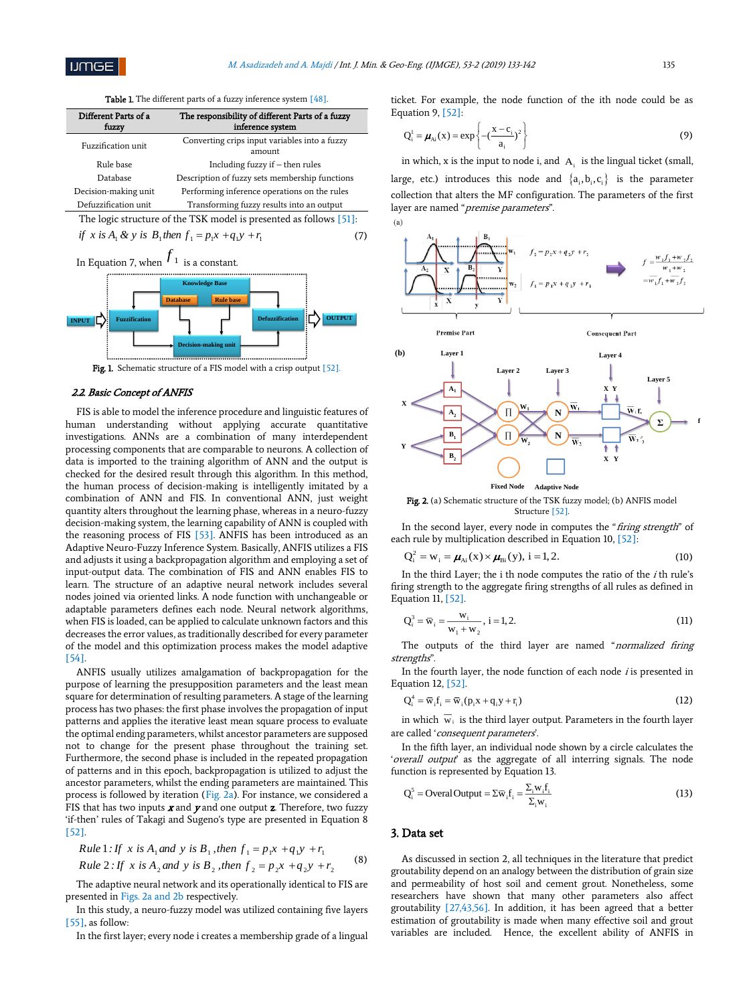Table 1. The different parts of a fuzzy inference system [48].

| Different Parts of a<br>fuzzy | The responsibility of different Parts of a fuzzy<br>inference system |  |  |  |  |
|-------------------------------|----------------------------------------------------------------------|--|--|--|--|
| Fuzzification unit            | Converting crips input variables into a fuzzy<br>amount              |  |  |  |  |
| Rule base                     | Including fuzzy if $-$ then rules                                    |  |  |  |  |
| Database                      | Description of fuzzy sets membership functions                       |  |  |  |  |
| Decision-making unit          | Performing inference operations on the rules                         |  |  |  |  |
| Defuzzification unit          | Transforming fuzzy results into an output                            |  |  |  |  |

The logic structure of the TSK model is presented as follows [51]: if x is  $A_1 \& y$  is  $B_1$ then  $f_1 = p_1 x + q_1 y + r_1$ (7)



Fig. 1. Schematic structure of a FIS model with a crisp output [52].

# 2.2. Basic Concept of ANFIS

FIS is able to model the inference procedure and linguistic features of human understanding without applying accurate quantitative investigations. ANNs are a combination of many interdependent processing components that are comparable to neurons. A collection of data is imported to the training algorithm of ANN and the output is checked for the desired result through this algorithm. In this method, the human process of decision-making is intelligently imitated by a combination of ANN and FIS. In conventional ANN, just weight quantity alters throughout the learning phase, whereas in a neuro-fuzzy decision-making system, the learning capability of ANN is coupled with the reasoning process of FIS [53]. ANFIS has been introduced as an Adaptive Neuro-Fuzzy Inference System. Basically, ANFIS utilizes a FIS and adjusts it using a backpropagation algorithm and employing a set of input-output data. The combination of FIS and ANN enables FIS to learn. The structure of an adaptive neural network includes several nodes joined via oriented links. A node function with unchangeable or adaptable parameters defines each node. Neural network algorithms, when FIS is loaded, can be applied to calculate unknown factors and this decreases the error values, as traditionally described for every parameter of the model and this optimization process makes the model adaptive [54].

ANFIS usually utilizes amalgamation of backpropagation for the purpose of learning the presupposition parameters and the least mean square for determination of resulting parameters. A stage of the learning process has two phases: the first phase involves the propagation of input patterns and applies the iterative least mean square process to evaluate the optimal ending parameters, whilst ancestor parameters are supposed not to change for the present phase throughout the training set. Furthermore, the second phase is included in the repeated propagation of patterns and in this epoch, backpropagation is utilized to adjust the ancestor parameters, whilst the ending parameters are maintained. This process is followed by iteration (Fig. 2a). For instance, we considered a FIS that has two inputs  $x$  and  $y$  and one output  $z$ . Therefore, two fuzzy 'if-then' rules of Takagi and Sugeno's type are presented in Equation 8 [52].

Rule 1: If x is A<sub>1</sub> and y is B<sub>1</sub>, then 
$$
f_1 = p_1 x + q_1 y + r_1
$$
  
\nRule 2: If x is A<sub>2</sub> and y is B<sub>2</sub>, then  $f_2 = p_2 x + q_2 y + r_2$  (8)

The adaptive neural network and its operationally identical to FIS are presented in Figs. 2a and 2b respectively.

In this study, a neuro-fuzzy model was utilized containing five layers [55], as follow:

In the first layer; every node i creates a membership grade of a lingual

ticket. For example, the node function of the ith node could be as Equation 9, [52]:

$$
Q_i^1 = \boldsymbol{\mu}_{Ai}(x) = \exp\left\{-\left(\frac{x - c_i}{a_i}\right)^2\right\}
$$
 (9)

in which, x is the input to node i, and  $A_i$  is the lingual ticket (small, large, etc.) introduces this node and  $\{a_i, b_i, c_i\}$  is the parameter collection that alters the MF configuration. The parameters of the first layer are named "premise parameters".



Fig. 2. (a) Schematic structure of the TSK fuzzy model; (b) ANFIS model Structure [52].

In the second layer, every node in computes the "firing strength" of each rule by multiplication described in Equation 10, [52]:

$$
Q_i^2 = w_i = \mu_{Ai}(x) \times \mu_{Bi}(y), i = 1, 2.
$$
 (10)

In the third Layer; the  $i$  th node computes the ratio of the  $i$  th rule's firing strength to the aggregate firing strengths of all rules as defined in Equation 11, [52].

$$
Q_i^3 = \overline{w}_i = \frac{w_i}{w_1 + w_2}, \ i = 1, 2.
$$
 (11)

The outputs of the third layer are named "normalized firing strengths".

In the fourth layer, the node function of each node  $i$  is presented in Equation 12, [52].

$$
Q_i^4 = \overline{w}_i f_i = \overline{w}_i (p_i x + q_i y + r_i)
$$
\n(12)

in which  $w_i$  is the third layer output. Parameters in the fourth layer are called 'consequent parameters'.

In the fifth layer, an individual node shown by a circle calculates the 'overall output' as the aggregate of all interring signals. The node function is represented by Equation 13.

$$
Q_i^s = \text{Overall Output} = \sum \overline{w}_i f_i = \frac{\sum_i w_i f_i}{\sum_i w_i}
$$
 (13)

## 3. Data set

As discussed in section 2, all techniques in the literature that predict groutability depend on an analogy between the distribution of grain size and permeability of host soil and cement grout. Nonetheless, some researchers have shown that many other parameters also affect groutability [27,43,56]. In addition, it has been agreed that a better estimation of groutability is made when many effective soil and grout variables are included. Hence, the excellent ability of ANFIS in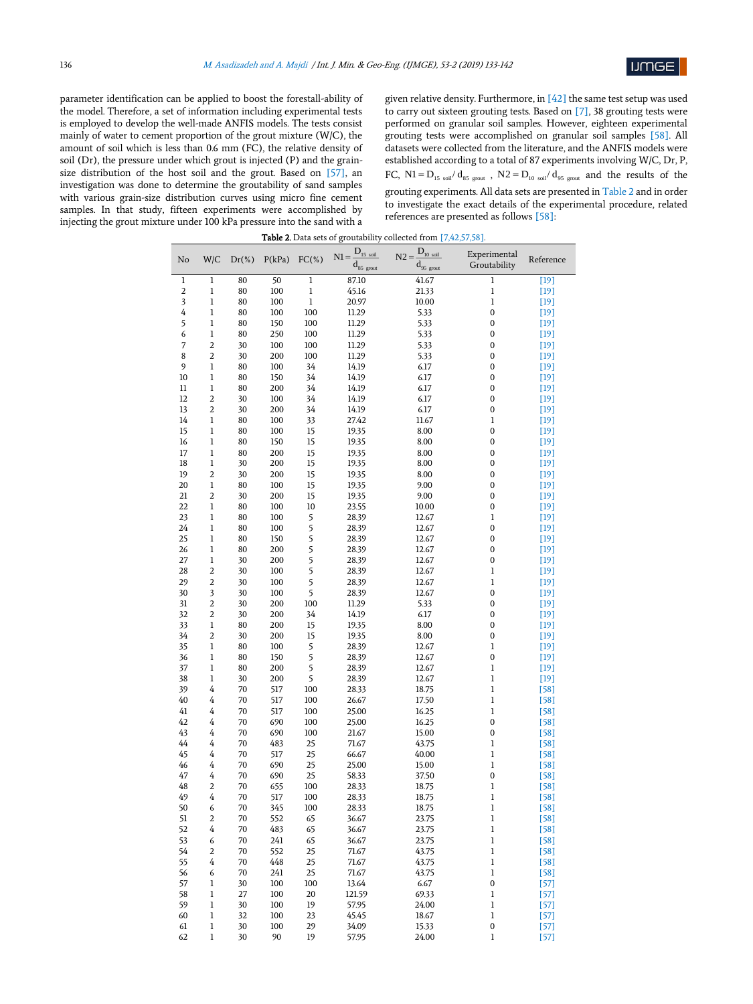

parameter identification can be applied to boost the forestall-ability of the model. Therefore, a set of information including experimental tests is employed to develop the well-made ANFIS models. The tests consist mainly of water to cement proportion of the grout mixture (W/C), the amount of soil which is less than 0.6 mm (FC), the relative density of soil (Dr), the pressure under which grout is injected (P) and the grainsize distribution of the host soil and the grout. Based on [57], an investigation was done to determine the groutability of sand samples with various grain-size distribution curves using micro fine cement samples. In that study, fifteen experiments were accomplished by injecting the grout mixture under 100 kPa pressure into the sand with a given relative density. Furthermore, in [42] the same test setup was used to carry out sixteen grouting tests. Based on [7], 38 grouting tests were performed on granular soil samples. However, eighteen experimental grouting tests were accomplished on granular soil samples [58]. All datasets were collected from the literature, and the ANFIS models were established according to a total of 87 experiments involving W/C, Dr, P, FC, N1 =  $D_{15 \text{ soil}}/d_{85 \text{ ground}}$ , N2 =  $D_{10 \text{ soil}}/d_{95 \text{ ground}}$  and the results of the grouting experiments. All data sets are presented in Table 2 and in order to investigate the exact details of the experimental procedure, related references are presented as follows [58]:

| Table 2. Data sets of groutability collected from [7,42,57,58]. |              |           |            |                |                                    |                                         |                   |                  |  |
|-----------------------------------------------------------------|--------------|-----------|------------|----------------|------------------------------------|-----------------------------------------|-------------------|------------------|--|
| No                                                              | W/C          | $Dr(\% )$ | P(kPa)     | $FC(% \theta)$ | $D_{15 \text{ soil}}$<br>$N1 =$    | $\mathbf{D}_{\text{10 soil}}$<br>$N2 =$ | Experimental      | Reference        |  |
|                                                                 |              |           |            |                | $\mathbf{d}_{85\ \mathrm{growth}}$ | $d_{95\ \rm{growth}}$                   | Groutability      |                  |  |
| 1                                                               | $\mathbf 1$  | 80        | 50         | $\mathbf 1$    | 87.10                              | 41.67                                   | $\mathbf 1$       | $[19]$           |  |
| 2                                                               | 1            | 80        | 100        | 1              | 45.16                              | 21.33                                   | $\mathbf{1}$      | $[19]$           |  |
| 3                                                               | 1            | 80        | 100        | $\,1$          | 20.97                              | 10.00                                   | 1                 | $[19]$           |  |
| 4                                                               | $\mathbf 1$  | 80        | 100        | 100            | 11.29                              | 5.33                                    | $\bf{0}$          | $[19]$           |  |
| 5                                                               | 1            | 80        | 150        | 100            | 11.29                              | 5.33                                    | 0                 | $[19]$           |  |
| 6                                                               | 1            | 80        | 250        | 100            | 11.29                              | 5.33                                    | 0                 | $[19]$           |  |
| 7                                                               | 2            | 30        | 100        | 100            | 11.29                              | 5.33                                    | 0                 | $[19]$           |  |
| 8                                                               | 2            | 30        | 200        | 100            | 11.29                              | 5.33                                    | 0                 | $[19]$           |  |
| 9                                                               | 1            | 80        | 100        | 34             | 14.19                              | 6.17                                    | 0                 | $[19]$           |  |
| 10                                                              | $\mathbf{1}$ | 80        | 150        | 34             | 14.19                              | 6.17                                    | 0                 | $[19]$           |  |
| 11                                                              | 1            | 80        | 200        | 34             | 14.19                              | 6.17                                    | 0                 | $[19]$           |  |
| 12<br>13                                                        | 2<br>2       | 30        | 100        | 34             | 14.19                              | 6.17                                    | 0                 | $[19]$           |  |
| 14                                                              | 1            | 30<br>80  | 200<br>100 | 34<br>33       | 14.19<br>27.42                     | 6.17<br>11.67                           | 0<br>$\mathbf{1}$ | $[19]$           |  |
| 15                                                              | 1            | 80        | 100        | 15             | 19.35                              | 8.00                                    | 0                 | $[19]$<br>$[19]$ |  |
| 16                                                              | 1            | 80        | 150        | 15             | 19.35                              | 8.00                                    | 0                 | $[19]$           |  |
| 17                                                              | 1            | 80        | 200        | 15             | 19.35                              | 8.00                                    | 0                 | $[19]$           |  |
| 18                                                              | 1            | 30        | 200        | 15             | 19.35                              | 8.00                                    | 0                 | $[19]$           |  |
| 19                                                              | 2            | 30        | 200        | 15             | 19.35                              | 8.00                                    | 0                 | $[19]$           |  |
| 20                                                              | 1            | 80        | 100        | 15             | 19.35                              | 9.00                                    | 0                 | $[19]$           |  |
| 21                                                              | 2            | 30        | 200        | 15             | 19.35                              | 9.00                                    | 0                 | $[19]$           |  |
| 22                                                              | 1            | 80        | 100        | 10             | 23.55                              | 10.00                                   | 0                 | $[19]$           |  |
| 23                                                              | 1            | 80        | 100        | 5              | 28.39                              | 12.67                                   | $\mathbf{1}$      | $[19]$           |  |
| 24                                                              | 1            | 80        | 100        | 5              | 28.39                              | 12.67                                   | 0                 | $[19]$           |  |
| 25                                                              | 1            | 80        | 150        | 5              | 28.39                              | 12.67                                   | $\bf{0}$          | $[19]$           |  |
| 26                                                              | 1            | 80        | 200        | 5              | 28.39                              | 12.67                                   | 0                 | $[19]$           |  |
| 27                                                              | 1            | 30        | 200        | 5              | 28.39                              | 12.67                                   | 0                 | $[19]$           |  |
| 28                                                              | 2            | 30        | 100        | 5              | 28.39                              | 12.67                                   | $\mathbf 1$       | $[19]$           |  |
| 29                                                              | 2            | 30        | 100        | 5              | 28.39                              | 12.67                                   | $\mathbf 1$       | $[19]$           |  |
| 30                                                              | 3            | 30        | 100        | 5              | 28.39                              | 12.67                                   | 0                 | [19]             |  |
| 31                                                              | 2            | 30        | 200        | 100            | 11.29                              | 5.33                                    | 0                 | $[19]$           |  |
| 32                                                              | 2            | 30        | 200        | 34             | 14.19                              | 6.17                                    | 0                 | $[19]$           |  |
| 33                                                              | 1            | 80        | 200        | 15             | 19.35                              | 8.00                                    | 0                 | $[19]$           |  |
| 34                                                              | 2            | 30        | 200        | 15             | 19.35                              | 8.00                                    | 0                 | $[19]$           |  |
| 35                                                              | $\mathbf{1}$ | 80        | 100        | 5              | 28.39                              | 12.67                                   | $\mathbf 1$       | $[19]$           |  |
| 36                                                              | 1            | 80        | 150        | 5              | 28.39                              | 12.67                                   | 0                 | $[19]$           |  |
| 37                                                              | $\,1$        | 80        | 200        | 5              | 28.39                              | 12.67                                   | $\,1$             | $[19]$           |  |
| 38                                                              | 1            | 30        | 200        | 5              | 28.39                              | 12.67                                   | $\,1$             | $[19]$           |  |
| 39                                                              | 4            | 70        | 517        | 100            | 28.33                              | 18.75                                   | $\mathbf 1$       | [58]             |  |
| 40                                                              | 4            | 70        | 517        | 100            | 26.67                              | 17.50                                   | $\mathbf 1$       | [58]             |  |
| 41                                                              | 4            | 70        | 517        | 100            | 25.00                              | 16.25                                   | $\mathbf 1$       | [58]             |  |
| 42                                                              | 4<br>4       | 70        | 690        | 100            | 25.00<br>21.67                     | 16.25                                   | $\bf{0}$          | [58]             |  |
| 43<br>44                                                        | 4            | 70<br>70  | 690<br>483 | 100<br>25      |                                    | 15.00<br>43.75                          | 0<br>$\,1$        | [58]             |  |
| 45                                                              | 4            | 70        | 517        | 25             | 71.67<br>66.67                     | 40.00                                   | 1                 | [58]<br>[58]     |  |
| 46                                                              | 4            | 70        | 690        | 25             | 25.00                              | 15.00                                   | 1                 | [58]             |  |
| 47                                                              | 4            | 70        | 690        | 25             | 58.33                              | 37.50                                   | $\boldsymbol{0}$  | [58]             |  |
| 48                                                              | 2            | 70        | 655        | 100            | 28.33                              | 18.75                                   | 1                 | [58]             |  |
| 49                                                              | 4            | 70        | 517        | 100            | 28.33                              | 18.75                                   | $\mathbf{1}$      | [58]             |  |
| 50                                                              | 6            | 70        | 345        | 100            | 28.33                              | 18.75                                   | $\,1$             | [58]             |  |
| 51                                                              | 2            | 70        | 552        | 65             | 36.67                              | 23.75                                   | $\,1$             | [58]             |  |
| 52                                                              | 4            | 70        | 483        | 65             | 36.67                              | 23.75                                   | $\,1$             | [58]             |  |
| 53                                                              | 6            | 70        | 241        | 65             | 36.67                              | 23.75                                   | $\bf{l}$          | [58]             |  |
| 54                                                              | 2            | 70        | 552        | 25             | 71.67                              | 43.75                                   | $\mathbf{1}$      | [58]             |  |
| 55                                                              | 4            | 70        | 448        | 25             | 71.67                              | 43.75                                   | $\,1$             | [58]             |  |
| 56                                                              | 6            | 70        | 241        | 25             | 71.67                              | 43.75                                   | $\,1$             | [58]             |  |
| 57                                                              | 1            | 30        | 100        | 100            | 13.64                              | 6.67                                    | $\boldsymbol{0}$  | [57]             |  |
| 58                                                              | 1            | 27        | 100        | 20             | 121.59                             | 69.33                                   | $\,1$             | $[57]$           |  |
| 59                                                              | 1            | 30        | 100        | 19             | 57.95                              | 24.00                                   | $\,1$             | [57]             |  |
| 60                                                              | 1            | 32        | 100        | 23             | 45.45                              | 18.67                                   | $\,1$             | [57]             |  |
| 61                                                              | 1            | 30        | 100        | 29             | 34.09                              | 15.33                                   | $\boldsymbol{0}$  | [57]             |  |
| 62                                                              | $\,1$        | 30        | 90         | 19             | 57.95                              | 24.00                                   | $\mathbf{1}$      | $[57]$           |  |

| <b>Table 2.</b> Data sets of groutability collected from [7.42.57.5] |  |
|----------------------------------------------------------------------|--|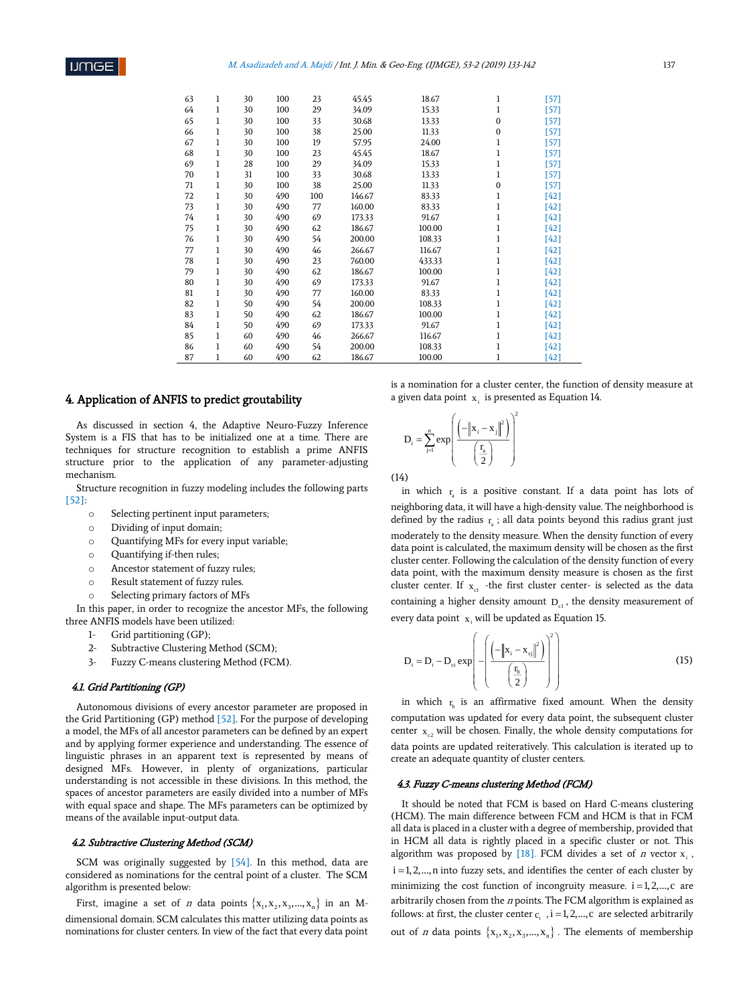| 63 | 1 | 30 | 100 | 23  | 45.45  | 18.67  | 1        | [57]   |
|----|---|----|-----|-----|--------|--------|----------|--------|
| 64 | 1 | 30 | 100 | 29  | 34.09  | 15.33  | 1        | [57]   |
| 65 | 1 | 30 | 100 | 33  | 30.68  | 13.33  | 0        | [57]   |
| 66 | 1 | 30 | 100 | 38  | 25.00  | 11.33  | $\Omega$ | [57]   |
| 67 | 1 | 30 | 100 | 19  | 57.95  | 24.00  | 1        | [57]   |
| 68 | 1 | 30 | 100 | 23  | 45.45  | 18.67  | 1        | [57]   |
| 69 | 1 | 28 | 100 | 29  | 34.09  | 15.33  | 1        | [57]   |
| 70 | 1 | 31 | 100 | 33  | 30.68  | 13.33  | 1        | [57]   |
| 71 | 1 | 30 | 100 | 38  | 25.00  | 11.33  | 0        | $[57]$ |
| 72 | 1 | 30 | 490 | 100 | 146.67 | 83.33  | 1        | $[42]$ |
| 73 | 1 | 30 | 490 | 77  | 160.00 | 83.33  | 1        | $[42]$ |
| 74 | 1 | 30 | 490 | 69  | 173.33 | 91.67  | 1        | $[42]$ |
| 75 | 1 | 30 | 490 | 62  | 186.67 | 100.00 | 1        | $[42]$ |
| 76 | 1 | 30 | 490 | 54  | 200.00 | 108.33 | 1        | $[42]$ |
| 77 | 1 | 30 | 490 | 46  | 266.67 | 116.67 | 1        | $[42]$ |
| 78 | 1 | 30 | 490 | 23  | 760.00 | 433.33 | ı        | $[42]$ |
| 79 | 1 | 30 | 490 | 62  | 186.67 | 100.00 | 1        | $[42]$ |
| 80 | 1 | 30 | 490 | 69  | 173.33 | 91.67  | 1        | $[42]$ |
| 81 | 1 | 30 | 490 | 77  | 160.00 | 83.33  | 1        | $[42]$ |
| 82 | 1 | 50 | 490 | 54  | 200.00 | 108.33 | ı        | $[42]$ |
| 83 | 1 | 50 | 490 | 62  | 186.67 | 100.00 | 1        | $[42]$ |
| 84 | 1 | 50 | 490 | 69  | 173.33 | 91.67  | ı        | $[42]$ |
| 85 | 1 | 60 | 490 | 46  | 266.67 | 116.67 |          | $[42]$ |
| 86 | 1 | 60 | 490 | 54  | 200.00 | 108.33 |          | $[42]$ |
| 87 | 1 | 60 | 490 | 62  | 186.67 | 100.00 | 1        | [42]   |

# 4. Application of ANFIS to predict groutability

As discussed in section 4, the Adaptive Neuro-Fuzzy Inference System is a FIS that has to be initialized one at a time. There are techniques for structure recognition to establish a prime ANFIS structure prior to the application of any parameter-adjusting mechanism.

Structure recognition in fuzzy modeling includes the following parts [52]:

- o Selecting pertinent input parameters;
- o Dividing of input domain;
- o Quantifying MFs for every input variable;
- o Quantifying if-then rules;
- o Ancestor statement of fuzzy rules;
- o Result statement of fuzzy rules.
- Selecting primary factors of MFs

In this paper, in order to recognize the ancestor MFs, the following three ANFIS models have been utilized:

- 1- Grid partitioning (GP);
- 2- Subtractive Clustering Method (SCM);
- 3- Fuzzy C-means clustering Method (FCM).

#### 4.1. Grid Partitioning (GP)

Autonomous divisions of every ancestor parameter are proposed in the Grid Partitioning (GP) method [52]. For the purpose of developing a model, the MFs of all ancestor parameters can be defined by an expert and by applying former experience and understanding. The essence of linguistic phrases in an apparent text is represented by means of designed MFs. However, in plenty of organizations, particular understanding is not accessible in these divisions. In this method, the spaces of ancestor parameters are easily divided into a number of MFs with equal space and shape. The MFs parameters can be optimized by means of the available input-output data.

#### 4.2. Subtractive Clustering Method (SCM)

SCM was originally suggested by [54]. In this method, data are considered as nominations for the central point of a cluster. The SCM algorithm is presented below:

First, imagine a set of *n* data points  $\{x_1, x_2, x_3, ..., x_n\}$  in an Mdimensional domain. SCM calculates this matter utilizing data points as nominations for cluster centers. In view of the fact that every data point is a nomination for a cluster center, the function of density measure at a given data point  $x_i$  is presented as Equation 14.

$$
\mathbf{D}_{i} = \sum_{j=1}^{n} \exp\left(\frac{\left(-\left\|\mathbf{x}_{i} - \mathbf{x}_{j}\right\|^{2}\right)}{\left(\frac{\mathbf{r}_{n}}{2}\right)}\right)^{2}
$$

(14)

in which  $r_a$  is a positive constant. If a data point has lots of neighboring data, it will have a high-density value. The neighborhood is defined by the radius  $r_a$ ; all data points beyond this radius grant just moderately to the density measure. When the density function of every data point is calculated, the maximum density will be chosen as the first cluster center. Following the calculation of the density function of every data point, with the maximum density measure is chosen as the first cluster center. If  $x_{cl}$  -the first cluster center- is selected as the data containing a higher density amount  $D_{c1}$ , the density measurement of every data point  $x_i$  will be updated as Equation 15.

$$
D_{i} = D_{i} - D_{ci} \exp\left(-\left(\frac{\left(-\left\|\mathbf{x}_{i} - \mathbf{x}_{cj}\right\|^{2}\right)}{\left(\frac{\mathbf{r}_{b}}{2}\right)}\right)^{2}\right)
$$
(15)

in which  $r_{\rm b}$  is an affirmative fixed amount. When the density computation was updated for every data point, the subsequent cluster center  $x_{c2}$  will be chosen. Finally, the whole density computations for data points are updated reiteratively. This calculation is iterated up to create an adequate quantity of cluster centers.

# 4.3. Fuzzy C-means clustering Method (FCM)

It should be noted that FCM is based on Hard C-means clustering (HCM). The main difference between FCM and HCM is that in FCM all data is placed in a cluster with a degree of membership, provided that in HCM all data is rightly placed in a specific cluster or not. This algorithm was proposed by [18]. FCM divides a set of  $n$  vector  $x_i$ .  $i = 1, 2, \ldots, n$  into fuzzy sets, and identifies the center of each cluster by minimizing the cost function of incongruity measure.  $i = 1, 2, \dots, c$  are arbitrarily chosen from the  $n$  points. The FCM algorithm is explained as follows: at first, the cluster center  $c_i$ ,  $i = 1, 2, ..., c$  are selected arbitrarily out of *n* data points  $\{x_1, x_2, x_3, ..., x_n\}$ . The elements of membership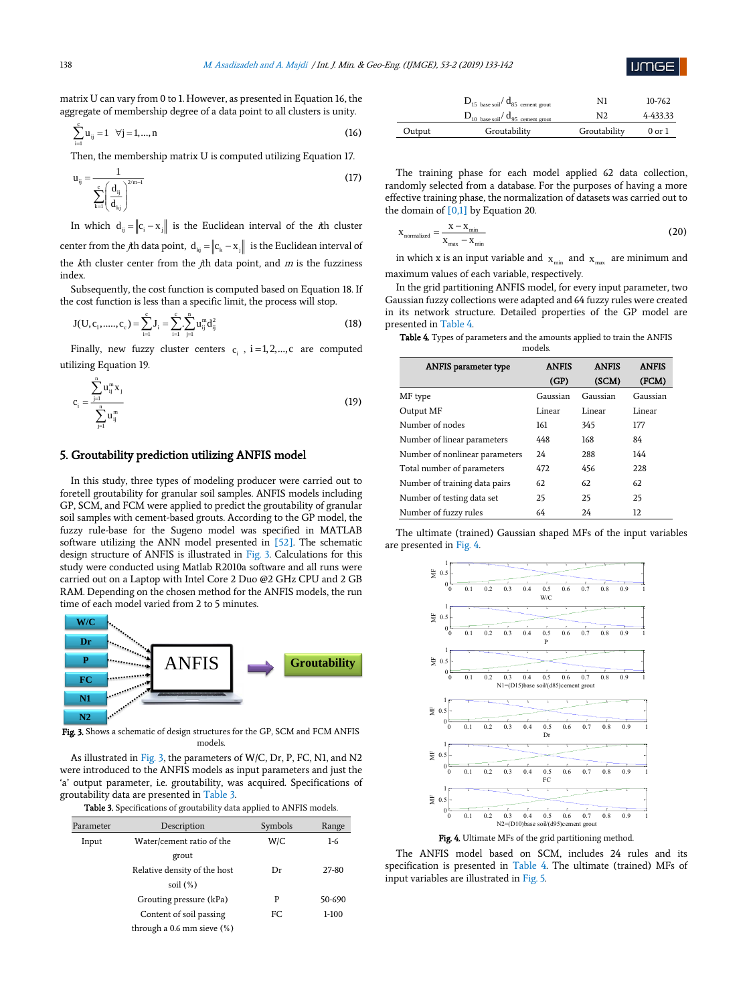

matrix U can vary from 0 to 1. However, as presented in Equation 16, the aggregate of membership degree of a data point to all clusters is unity.

$$
\sum_{i=1}^{c} u_{ij} = 1 \quad \forall j = 1,...,n
$$
 (16)

Then, the membership matrix U is computed utilizing Equation 17.

$$
u_{ij} = \frac{1}{\sum_{k=1}^{c} \left(\frac{d_{ij}}{d_{kj}}\right)^{2/m-1}}
$$
(17)

In which  $d_{ij} = ||c_i - x_j||$  is the Euclidean interval of the *i*th cluster center from the *j*th data point,  $d_{kj} = ||c_k - x_j||$  is the Euclidean interval of the  $k$ th cluster center from the  $j$ th data point, and  $m$  is the fuzziness index.

Subsequently, the cost function is computed based on Equation 18. If the cost function is less than a specific limit, the process will stop.

$$
J(U, c_1, \dots, c_c) = \sum_{i=1}^{c} J_i = \sum_{i=1}^{c} \sum_{j=1}^{n} u_{ij}^m d_{ij}^2
$$
\n(18)

Finally, new fuzzy cluster centers  $c_i$ ,  $i = 1, 2, \dots, c$  are computed utilizing Equation 19.

$$
c_{i} = \frac{\sum_{j=1}^{n} u_{ij}^{m} x_{j}}{\sum_{j=1}^{n} u_{ij}^{m}}
$$
\n(19)

# 5. Groutability prediction utilizing ANFIS model

In this study, three types of modeling producer were carried out to foretell groutability for granular soil samples. ANFIS models including GP, SCM, and FCM were applied to predict the groutability of granular soil samples with cement-based grouts. According to the GP model, the fuzzy rule-base for the Sugeno model was specified in MATLAB software utilizing the ANN model presented in [52]. The schematic design structure of ANFIS is illustrated in Fig. 3. Calculations for this study were conducted using Matlab R2010a software and all runs were carried out on a Laptop with Intel Core 2 Duo @2 GHz CPU and 2 GB RAM. Depending on the chosen method for the ANFIS models, the run time of each model varied from 2 to 5 minutes.



Fig. 3. Shows a schematic of design structures for the GP, SCM and FCM ANFIS models.

As illustrated in Fig. 3, the parameters of W/C, Dr, P, FC, N1, and N2 were introduced to the ANFIS models as input parameters and just the 'a' output parameter, i.e. groutability, was acquired. Specifications of P 1 groutability data are presented in Table 3.

Table 3. Specifications of groutability data applied to ANFIS models.

| Parameter | Description                                          | Symbols | Range   |
|-----------|------------------------------------------------------|---------|---------|
| Input     | Water/cement ratio of the                            | W/C     | $1-6$   |
|           | grout<br>Relative density of the host<br>soil $(\%)$ | Dr      | 27-80   |
|           | Grouting pressure (kPa)                              | P       | 50-690  |
|           | Content of soil passing                              | FC      | $1-100$ |
|           | through a $0.6$ mm sieve $(\%)$                      |         |         |

|        | $D_{15 \text{ base soil}} / d_{85 \text{ cement growth}}$ | N1             | 10-762     |
|--------|-----------------------------------------------------------|----------------|------------|
|        | $D_{10$ base soil $d_{95}$ cement grout                   | N <sub>2</sub> | 4-433.33   |
| Output | Groutability                                              | Groutability   | $0$ or $1$ |

The training phase for each model applied 62 data collection, randomly selected from a database. For the purposes of having a more effective training phase, the normalization of datasets was carried out to the domain of  $[0,1]$  by Equation 20.

$$
x_{\text{normalized}} = \frac{x - x_{\text{min}}}{x_{\text{max}} - x_{\text{min}}}
$$
 (20)

in which x is an input variable and  $x_{\min}$  and  $x_{\max}$  are minimum and maximum values of each variable, respectively.

In the grid partitioning ANFIS model, for every input parameter, two Gaussian fuzzy collections were adapted and 64 fuzzy rules were created in its network structure. Detailed properties of the GP model are presented in Table 4.

|  | <b>Table 4.</b> Types of parameters and the amounts applied to train the ANFIS |         |  |  |  |
|--|--------------------------------------------------------------------------------|---------|--|--|--|
|  |                                                                                | models. |  |  |  |

| <b>ANFIS</b> parameter type    | <b>ANFIS</b> | <b>ANFIS</b> | <b>ANFIS</b> |
|--------------------------------|--------------|--------------|--------------|
|                                | (GP)         | (SCM)        | (FCM)        |
| MF type                        | Gaussian     | Gaussian     | Gaussian     |
| Output MF                      | Linear       | Linear       | Linear       |
| Number of nodes                | 161          | 345          | 177          |
| Number of linear parameters    | 448          | 168          | 84           |
| Number of nonlinear parameters | 24           | 288          | 144          |
| Total number of parameters     | 472          | 456          | 228          |
| Number of training data pairs  | 62           | 62           | 62           |
| Number of testing data set     | 25           | 25           | 25           |
| Number of fuzzy rules          | 64           | 24           | 12           |

The ultimate (trained) Gaussian shaped MFs of the input variables are presented in Fig. 4.



The ANFIS model based on SCM, includes 24 rules and its specification is presented in Table 4. The ultimate (trained) MFs of input variables are illustrated in Fig. 5.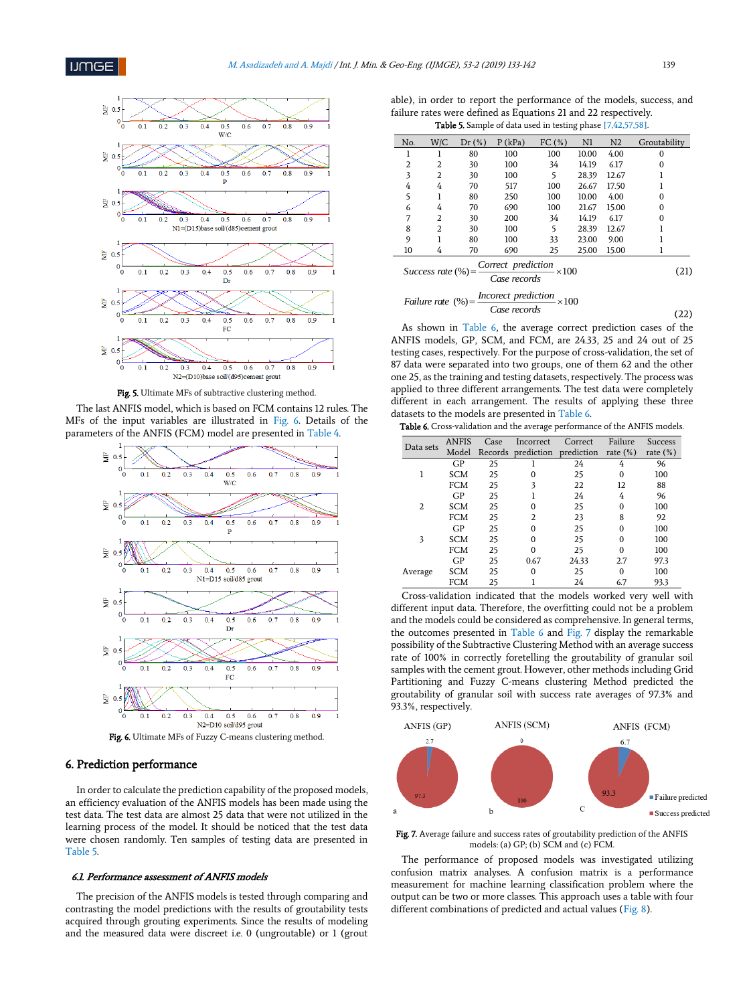

Fig. 5. Ultimate MFs of subtractive clustering method.

The last ANFIS model, which is based on FCM contains 12 rules. The MFs of the input variables are illustrated in Fig. 6. Details of the parameters of the ANFIS (FCM) model are presented in Table 4.



Fig. 6. Ultimate MFs of Fuzzy C-means clustering method.

### 6. Prediction performance

In order to calculate the prediction capability of the proposed models, an efficiency evaluation of the ANFIS models has been made using the test data. The test data are almost 25 data that were not utilized in the learning process of the model. It should be noticed that the test data were chosen randomly. Ten samples of testing data are presented in Table 5.

### 6.1. Performance assessment of ANFIS models

The precision of the ANFIS models is tested through comparing and contrasting the model predictions with the results of groutability tests acquired through grouting experiments. Since the results of modeling and the measured data were discreet i.e. 0 (ungroutable) or 1 (grout

able), in order to report the performance of the models, success, and failure rates were defined as Equations 21 and 22 respectively. Table 5. Sample of data used in testing phase [7,42,57,58].

| No.                                                                                                | W/C                                                         | Dr(%) | $P$ (kPa) | FC(%) | N1    | N <sub>2</sub> | Groutability |  |  |  |
|----------------------------------------------------------------------------------------------------|-------------------------------------------------------------|-------|-----------|-------|-------|----------------|--------------|--|--|--|
| ı                                                                                                  |                                                             | 80    | 100       | 100   | 10.00 | 4.00           | $\Omega$     |  |  |  |
| 2                                                                                                  | $\overline{2}$                                              | 30    | 100       | 34    | 14.19 | 6.17           | $\Omega$     |  |  |  |
| 3                                                                                                  | $\overline{2}$                                              | 30    | 100       | 5     | 28.39 | 12.67          |              |  |  |  |
| 4                                                                                                  | 4                                                           | 70    | 517       | 100   | 26.67 | 17.50          |              |  |  |  |
| 5                                                                                                  | 1                                                           | 80    | 250       | 100   | 10.00 | 4.00           | $\Omega$     |  |  |  |
| 6                                                                                                  | 4                                                           | 70    | 690       | 100   | 21.67 | 15.00          | $\Omega$     |  |  |  |
| 7                                                                                                  | 2                                                           | 30    | 200       | 34    | 14.19 | 6.17           | $\Omega$     |  |  |  |
| 8                                                                                                  | 2                                                           | 30    | 100       | 5     | 28.39 | 12.67          |              |  |  |  |
| 9                                                                                                  |                                                             | 80    | 100       | 33    | 23.00 | 9.00           |              |  |  |  |
| 10                                                                                                 | 4                                                           | 70    | 690       | 25    | 25.00 | 15.00          | 1            |  |  |  |
| Success rate $\left(\% \right) = \frac{Correct\ prediction}{2} \times 100$<br>(21)<br>Case records |                                                             |       |           |       |       |                |              |  |  |  |
|                                                                                                    | Failure rate $(\%) =$ Incorect prediction<br>$- \times 100$ |       |           |       |       |                |              |  |  |  |

$$
(\%) = \frac{1}{\text{Case records}} \times 100 \tag{22}
$$

As shown in Table 6, the average correct prediction cases of the ANFIS models, GP, SCM, and FCM, are 24.33, 25 and 24 out of 25 testing cases, respectively. For the purpose of cross-validation, the set of 87 data were separated into two groups, one of them 62 and the other one 25, as the training and testing datasets, respectively. The process was applied to three different arrangements. The test data were completely different in each arrangement. The results of applying these three datasets to the models are presented in Table 6.

| <b>Table 6.</b> Cross-validation and the average performance of the ANFIS models |  |  |
|----------------------------------------------------------------------------------|--|--|
|----------------------------------------------------------------------------------|--|--|

| Data sets | <b>ANFIS</b> | Case    | Incorrect      | Correct    | Failure     | <b>Success</b> |
|-----------|--------------|---------|----------------|------------|-------------|----------------|
|           | Model        | Records | prediction     | prediction | rate $(\%)$ | rate $(\%)$    |
|           | GP           | 25      |                | 24         | 4           | 96             |
|           | <b>SCM</b>   | 25      | 0              | 25         | $\Omega$    | 100            |
|           | <b>FCM</b>   | 25      | 3              | 22         | 12          | 88             |
|           | GP           | 25      |                | 24         | 4           | 96             |
| 2         | <b>SCM</b>   | 25      | 0              | 25         | $\Omega$    | 100            |
|           | <b>FCM</b>   | 25      | $\mathfrak{D}$ | 23         | 8           | 92             |
|           | GP           | 25      | O              | 25         | O           | 100            |
| 3         | <b>SCM</b>   | 25      | 0              | 25         | $\Omega$    | 100            |
|           | <b>FCM</b>   | 25      | $\Omega$       | 25         | $\Omega$    | 100            |
|           | GP           | 25      | 0.67           | 24.33      | 2.7         | 97.3           |
| Average   | <b>SCM</b>   | 25      | 0              | 25         | O           | 100            |
|           | FCM          | 25      |                | 24         | 6.7         | 93.3           |

Cross-validation indicated that the models worked very well with different input data. Therefore, the overfitting could not be a problem and the models could be considered as comprehensive. In general terms, the outcomes presented in Table 6 and Fig. 7 display the remarkable possibility of the Subtractive Clustering Method with an average success rate of 100% in correctly foretelling the groutability of granular soil samples with the cement grout. However, other methods including Grid Partitioning and Fuzzy C-means clustering Method predicted the groutability of granular soil with success rate averages of 97.3% and 93.3%, respectively.



Fig. 7. Average failure and success rates of groutability prediction of the ANFIS models: (a) GP; (b) SCM and (c) FCM.

The performance of proposed models was investigated utilizing confusion matrix analyses. A confusion matrix is a performance measurement for machine learning classification problem where the output can be two or more classes. This approach uses a table with four different combinations of predicted and actual values (Fig. 8).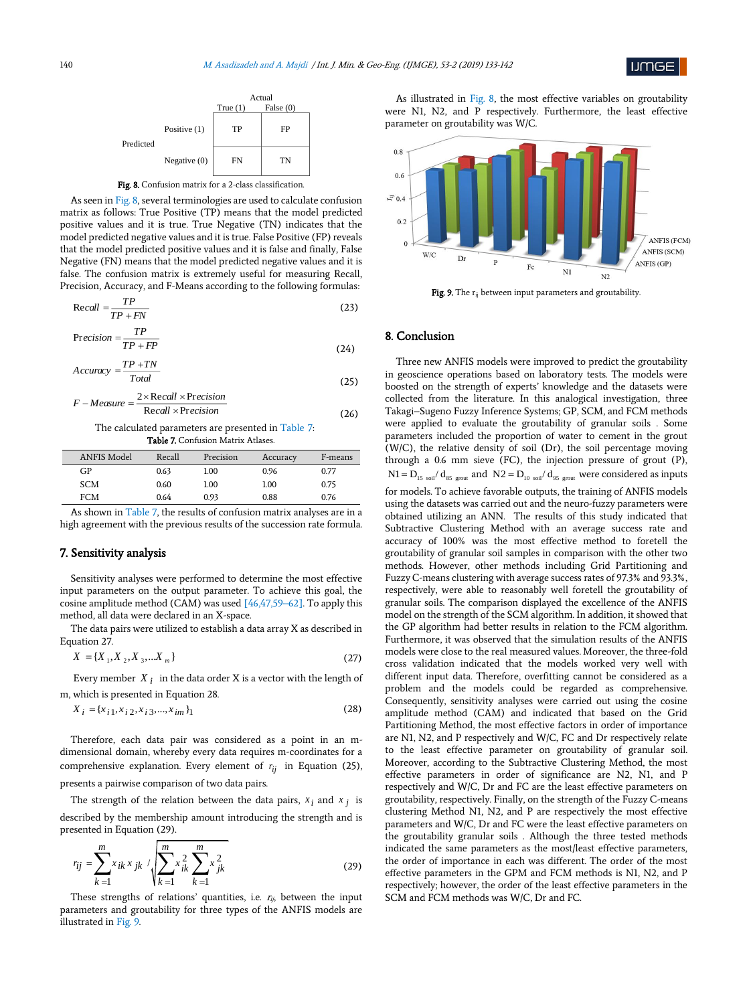





As seen in Fig. 8, several terminologies are used to calculate confusion matrix as follows: True Positive (TP) means that the model predicted positive values and it is true. True Negative (TN) indicates that the model predicted negative values and it is true. False Positive (FP) reveals that the model predicted positive values and it is false and finally, False Negative (FN) means that the model predicted negative values and it is false. The confusion matrix is extremely useful for measuring Recall, Precision, Accuracy, and F-Means according to the following formulas:

$$
Recall = \frac{TP}{TP + FN}
$$
 (23)

$$
Precision = \frac{TP}{TP + FP}
$$
 (24)

$$
Accuracy = \frac{TP + TN}{Total}
$$
 (25)

$$
F-Measure = \frac{2 \times Recall \times Precision}{Recall \times Precision}
$$
 (26)

 The calculated parameters are presented in Table 7: Table 7. Confusion Matrix Atlases.

| <b>ANFIS Model</b> | Recall | Precision | Accuracy | F-means |
|--------------------|--------|-----------|----------|---------|
| GP                 | 0.63   | 1.00      | 0.96     | 0.77    |
| <b>SCM</b>         | 0.60   | 1.00      | 1.00     | 0.75    |
| FCM                | 0.64   | 0.93      | 0.88     | 0.76    |
|                    |        |           |          |         |

As shown in Table 7, the results of confusion matrix analyses are in a high agreement with the previous results of the succession rate formula.

## 7. Sensitivity analysis

Sensitivity analyses were performed to determine the most effective input parameters on the output parameter. To achieve this goal, the cosine amplitude method (CAM) was used [46,47,59–62]. To apply this method, all data were declared in an X-space.

The data pairs were utilized to establish a data array X as described in Equation 27.

$$
X = \{X_1, X_2, X_3, \dots X_m\}
$$
 (27)

Every member  $X_i$  in the data order X is a vector with the length of m, which is presented in Equation 28.

$$
X_i = \{x_{i1}, x_{i2}, x_{i3}, \dots, x_{im}\}\tag{28}
$$

Therefore, each data pair was considered as a point in an mdimensional domain, whereby every data requires m-coordinates for a comprehensive explanation. Every element of  $r_{ij}$  in Equation (25), presents a pairwise comparison of two data pairs.

The strength of the relation between the data pairs,  $x_i$  and  $x_j$  is

described by the membership amount introducing the strength and is presented in Equation (29).

$$
r_{ij} = \sum_{k=1}^{m} x_{ik} x_{jk} / \sqrt{\sum_{k=1}^{m} x_{ik}^{2} \sum_{k=1}^{m} x_{jk}^{2}}
$$
 (29)

These strengths of relations' quantities, i.e.  $r_{ij}$ , between the input parameters and groutability for three types of the ANFIS models are illustrated in Fig. 9.

As illustrated in Fig. 8, the most effective variables on groutability were N1, N2, and P respectively. Furthermore, the least effective parameter on groutability was W/C.



Fig. 9. The r<sub>ij</sub> between input parameters and groutability.

# 8. Conclusion

Three new ANFIS models were improved to predict the groutability in geoscience operations based on laboratory tests. The models were boosted on the strength of experts' knowledge and the datasets were collected from the literature. In this analogical investigation, three Takagi–Sugeno Fuzzy Inference Systems; GP, SCM, and FCM methods were applied to evaluate the groutability of granular soils . Some parameters included the proportion of water to cement in the grout (W/C), the relative density of soil (Dr), the soil percentage moving through a 0.6 mm sieve (FC), the injection pressure of grout (P),  $N1 = D_{15 \text{ soil}} / d_{85 \text{ growth}}$  and  $N2 = D_{10 \text{ soil}} / d_{95 \text{ growth}}$  were considered as inputs for models. To achieve favorable outputs, the training of ANFIS models using the datasets was carried out and the neuro-fuzzy parameters were obtained utilizing an ANN. The results of this study indicated that Subtractive Clustering Method with an average success rate and accuracy of 100% was the most effective method to foretell the groutability of granular soil samples in comparison with the other two methods. However, other methods including Grid Partitioning and Fuzzy C-means clustering with average success rates of 97.3% and 93.3%, respectively, were able to reasonably well foretell the groutability of granular soils. The comparison displayed the excellence of the ANFIS model on the strength of the SCM algorithm. In addition, it showed that the GP algorithm had better results in relation to the FCM algorithm. Furthermore, it was observed that the simulation results of the ANFIS models were close to the real measured values. Moreover, the three-fold cross validation indicated that the models worked very well with different input data. Therefore, overfitting cannot be considered as a problem and the models could be regarded as comprehensive. Consequently, sensitivity analyses were carried out using the cosine amplitude method (CAM) and indicated that based on the Grid Partitioning Method, the most effective factors in order of importance are N1, N2, and P respectively and W/C, FC and Dr respectively relate to the least effective parameter on groutability of granular soil. Moreover, according to the Subtractive Clustering Method, the most effective parameters in order of significance are N2, N1, and P respectively and W/C, Dr and FC are the least effective parameters on groutability, respectively. Finally, on the strength of the Fuzzy C-means clustering Method N1, N2, and P are respectively the most effective parameters and W/C, Dr and FC were the least effective parameters on the groutability granular soils . Although the three tested methods indicated the same parameters as the most/least effective parameters, the order of importance in each was different. The order of the most effective parameters in the GPM and FCM methods is N1, N2, and P respectively; however, the order of the least effective parameters in the SCM and FCM methods was W/C, Dr and FC.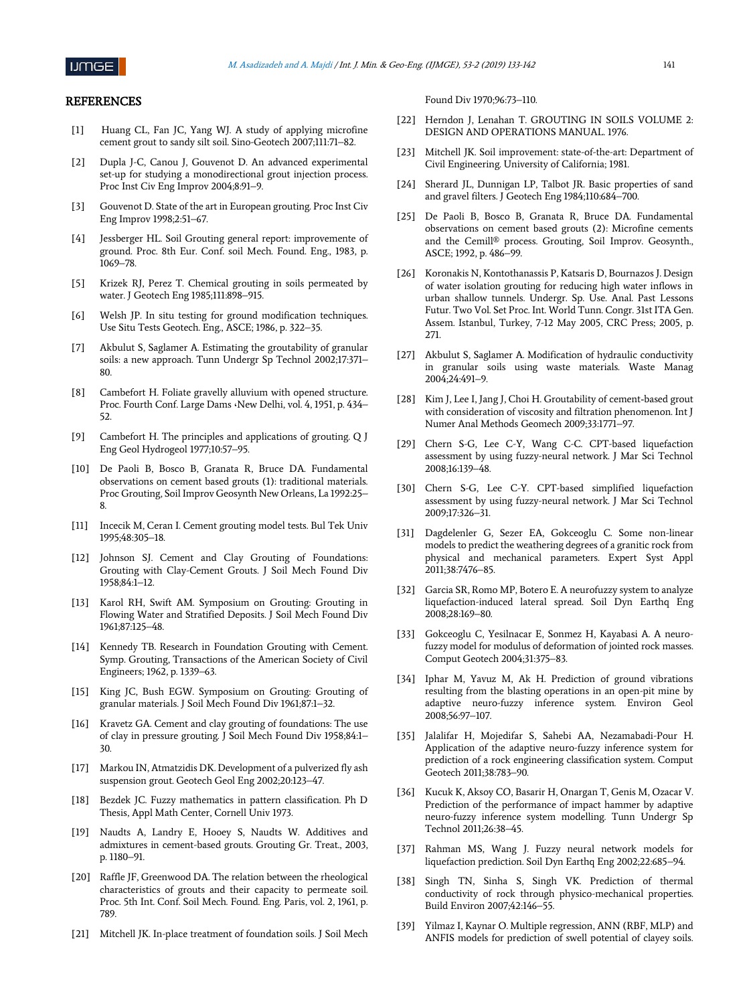

## **REFERENCES**

- [1] Huang CL, Fan JC, Yang WJ. A study of applying microfine cement grout to sandy silt soil. Sino-Geotech 2007;111:71–82.
- [2] Dupla J-C, Canou J, Gouvenot D. An advanced experimental set-up for studying a monodirectional grout injection process. Proc Inst Civ Eng Improv 2004;8:91–9.
- [3] Gouvenot D. State of the art in European grouting. Proc Inst Civ Eng Improv 1998;2:51–67.
- [4] Jessberger HL. Soil Grouting general report: improvemente of ground. Proc. 8th Eur. Conf. soil Mech. Found. Eng., 1983, p. 1069–78.
- [5] Krizek RJ, Perez T. Chemical grouting in soils permeated by water. J Geotech Eng 1985;111:898–915.
- [6] Welsh JP. In situ testing for ground modification techniques. Use Situ Tests Geotech. Eng., ASCE; 1986, p. 322–35.
- [7] Akbulut S, Saglamer A. Estimating the groutability of granular soils: a new approach. Tunn Undergr Sp Technol 2002;17:371– 80.
- [8] Cambefort H. Foliate gravelly alluvium with opened structure. Proc. Fourth Conf. Large Dams **،**New Delhi, vol. 4, 1951, p. 434– 52.
- [9] Cambefort H. The principles and applications of grouting. Q J Eng Geol Hydrogeol 1977;10:57–95.
- [10] De Paoli B, Bosco B, Granata R, Bruce DA. Fundamental observations on cement based grouts (1): traditional materials. Proc Grouting, Soil Improv Geosynth New Orleans, La 1992:25– 8.
- [11] Incecik M, Ceran I. Cement grouting model tests. Bul Tek Univ 1995;48:305–18.
- [12] Johnson SJ. Cement and Clay Grouting of Foundations: Grouting with Clay-Cement Grouts. J Soil Mech Found Div 1958;84:1–12.
- [13] Karol RH, Swift AM. Symposium on Grouting: Grouting in Flowing Water and Stratified Deposits. J Soil Mech Found Div 1961;87:125–48.
- [14] Kennedy TB. Research in Foundation Grouting with Cement. Symp. Grouting, Transactions of the American Society of Civil Engineers; 1962, p. 1339–63.
- [15] King JC, Bush EGW. Symposium on Grouting: Grouting of granular materials. J Soil Mech Found Div 1961;87:1–32.
- [16] Kravetz GA. Cement and clay grouting of foundations: The use of clay in pressure grouting. J Soil Mech Found Div 1958;84:1– 30.
- [17] Markou IN, Atmatzidis DK. Development of a pulverized fly ash suspension grout. Geotech Geol Eng 2002;20:123–47.
- [18] Bezdek JC. Fuzzy mathematics in pattern classification. Ph D Thesis, Appl Math Center, Cornell Univ 1973.
- Naudts A, Landry E, Hooey S, Naudts W. Additives and admixtures in cement-based grouts. Grouting Gr. Treat., 2003, p. 1180–91.
- [20] Raffle JF, Greenwood DA. The relation between the rheological characteristics of grouts and their capacity to permeate soil. Proc. 5th Int. Conf. Soil Mech. Found. Eng. Paris, vol. 2, 1961, p. 789.
- [21] Mitchell JK. In-place treatment of foundation soils. J Soil Mech

Found Div 1970;96:73–110.

- [22] Herndon J, Lenahan T. GROUTING IN SOILS VOLUME 2: DESIGN AND OPERATIONS MANUAL. 1976.
- [23] Mitchell JK. Soil improvement: state-of-the-art: Department of Civil Engineering. University of California; 1981.
- [24] Sherard JL, Dunnigan LP, Talbot JR. Basic properties of sand and gravel filters. J Geotech Eng 1984;110:684–700.
- [25] De Paoli B, Bosco B, Granata R, Bruce DA. Fundamental observations on cement based grouts (2): Microfine cements and the Cemill® process. Grouting, Soil Improv. Geosynth., ASCE; 1992, p. 486–99.
- [26] Koronakis N, Kontothanassis P, Katsaris D, Bournazos J. Design of water isolation grouting for reducing high water inflows in urban shallow tunnels. Undergr. Sp. Use. Anal. Past Lessons Futur. Two Vol. Set Proc. Int. World Tunn. Congr. 31st ITA Gen. Assem. Istanbul, Turkey, 7-12 May 2005, CRC Press; 2005, p. 271.
- [27] Akbulut S, Saglamer A. Modification of hydraulic conductivity in granular soils using waste materials. Waste Manag 2004;24:491–9.
- [28] Kim J, Lee I, Jang J, Choi H. Groutability of cement-based grout with consideration of viscosity and filtration phenomenon. Int J Numer Anal Methods Geomech 2009;33:1771–97.
- [29] Chern S-G, Lee C-Y, Wang C-C. CPT-based liquefaction assessment by using fuzzy-neural network. J Mar Sci Technol 2008;16:139–48.
- [30] Chern S-G, Lee C-Y. CPT-based simplified liquefaction assessment by using fuzzy-neural network. J Mar Sci Technol 2009;17:326–31.
- [31] Dagdelenler G, Sezer EA, Gokceoglu C. Some non-linear models to predict the weathering degrees of a granitic rock from physical and mechanical parameters. Expert Syst Appl 2011;38:7476–85.
- [32] Garcia SR, Romo MP, Botero E. A neurofuzzy system to analyze liquefaction-induced lateral spread. Soil Dyn Earthq Eng 2008;28:169–80.
- [33] Gokceoglu C, Yesilnacar E, Sonmez H, Kayabasi A. A neurofuzzy model for modulus of deformation of jointed rock masses. Comput Geotech 2004;31:375–83.
- [34] Iphar M, Yavuz M, Ak H. Prediction of ground vibrations resulting from the blasting operations in an open-pit mine by adaptive neuro-fuzzy inference system. Environ Geol 2008;56:97–107.
- [35] Jalalifar H, Mojedifar S, Sahebi AA, Nezamabadi-Pour H. Application of the adaptive neuro-fuzzy inference system for prediction of a rock engineering classification system. Comput Geotech 2011;38:783–90.
- [36] Kucuk K, Aksoy CO, Basarir H, Onargan T, Genis M, Ozacar V. Prediction of the performance of impact hammer by adaptive neuro-fuzzy inference system modelling. Tunn Undergr Sp Technol 2011;26:38–45.
- [37] Rahman MS, Wang J. Fuzzy neural network models for liquefaction prediction. Soil Dyn Earthq Eng 2002;22:685–94.
- [38] Singh TN, Sinha S, Singh VK. Prediction of thermal conductivity of rock through physico-mechanical properties. Build Environ 2007;42:146–55.
- [39] Yilmaz I, Kaynar O. Multiple regression, ANN (RBF, MLP) and ANFIS models for prediction of swell potential of clayey soils.